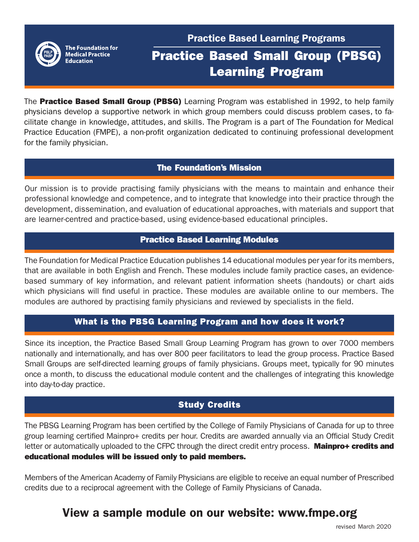

The Foundation for **Medical Practice Education** 

## Practice Based Learning Programs

# Practice Based Small Group (PBSG) Learning Program

The **Practice Based Small Group (PBSG)** Learning Program was established in 1992, to help family physicians develop a supportive network in which group members could discuss problem cases, to facilitate change in knowledge, attitudes, and skills. The Program is a part of The Foundation for Medical Practice Education (FMPE), a non-profit organization dedicated to continuing professional development for the family physician.

## The Foundation's Mission

Our mission is to provide practising family physicians with the means to maintain and enhance their professional knowledge and competence, and to integrate that knowledge into their practice through the development, dissemination, and evaluation of educational approaches, with materials and support that are learner-centred and practice-based, using evidence-based educational principles.

## Practice Based Learning Modules

The Foundation for Medical Practice Education publishes 14 educational modules per year for its members, that are available in both English and French. These modules include family practice cases, an evidencebased summary of key information, and relevant patient information sheets (handouts) or chart aids which physicians will find useful in practice. These modules are available online to our members. The modules are authored by practising family physicians and reviewed by specialists in the field.

## What is the PBSG Learning Program and how does it work?

Since its inception, the Practice Based Small Group Learning Program has grown to over 7000 members nationally and internationally, and has over 800 peer facilitators to lead the group process. Practice Based Small Groups are self-directed learning groups of family physicians. Groups meet, typically for 90 minutes once a month, to discuss the educational module content and the challenges of integrating this knowledge into day-to-day practice.

## Study Credits

The PBSG Learning Program has been certified by the College of Family Physicians of Canada for up to three group learning certified Mainpro+ credits per hour. Credits are awarded annually via an Official Study Credit letter or automatically uploaded to the CFPC through the direct credit entry process. Mainpro+ credits and educational modules will be issued only to paid members.

Members of the American Academy of Family Physicians are eligible to receive an equal number of Prescribed credits due to a reciprocal agreement with the College of Family Physicians of Canada.

## View a sample module on our website: www.fmpe.org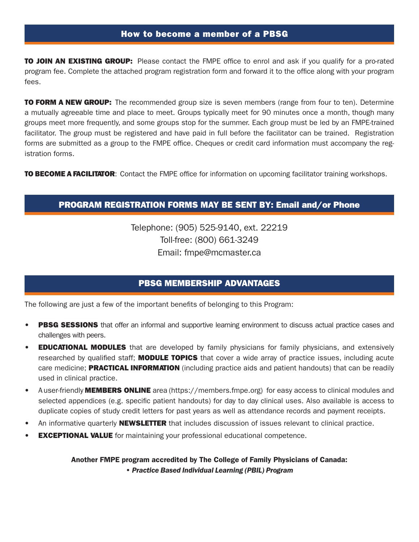#### How to become a member of a PBSG

**TO JOIN AN EXISTING GROUP:** Please contact the FMPE office to enrol and ask if you qualify for a pro-rated program fee. Complete the attached program registration form and forward it to the office along with your program fees.

**TO FORM A NEW GROUP:** The recommended group size is seven members (range from four to ten). Determine a mutually agreeable time and place to meet. Groups typically meet for 90 minutes once a month, though many groups meet more frequently, and some groups stop for the summer. Each group must be led by an FMPE-trained facilitator. The group must be registered and have paid in full before the facilitator can be trained. Registration forms are submitted as a group to the FMPE office. Cheques or credit card information must accompany the registration forms.

TO BECOME A FACILITATOR: Contact the FMPE office for information on upcoming facilitator training workshops.

### PROGRAM REGISTRATION FORMS MAY BE SENT BY: Email and/or Phone

Telephone: (905) 525-9140, ext. 22219 Toll-free: (800) 661-3249 Email: fmpe@mcmaster.ca

## PBSG MEMBERSHIP ADVANTAGES

The following are just a few of the important benefits of belonging to this Program:

 $\frac{1}{\sqrt{2}}$ 

- PBSG SESSIONS that offer an informal and supportive learning environment to discuss actual practice cases and challenges with peers.
- **EDUCATIONAL MODULES** that are developed by family physicians for family physicians, and extensively researched by qualified staff; **MODULE TOPICS** that cover a wide array of practice issues, including acute care medicine; **PRACTICAL INFORMATION** (including practice aids and patient handouts) that can be readily used in clinical practice.
- A user-friendly **MEMBERS ONLINE** area (https://members.fmpe.org) for easy access to clinical modules and selected appendices (e.g. specific patient handouts) for day to day clinical uses. Also available is access to duplicate copies of study credit letters for past years as well as attendance records and payment receipts.
- An informative quarterly **NEWSLETTER** that includes discussion of issues relevant to clinical practice.
- **EXCEPTIONAL VALUE** for maintaining your professional educational competence.

Another FMPE program accredited by The College of Family Physicians of Canada: *• Practice Based Individual Learning (PBIL) Program*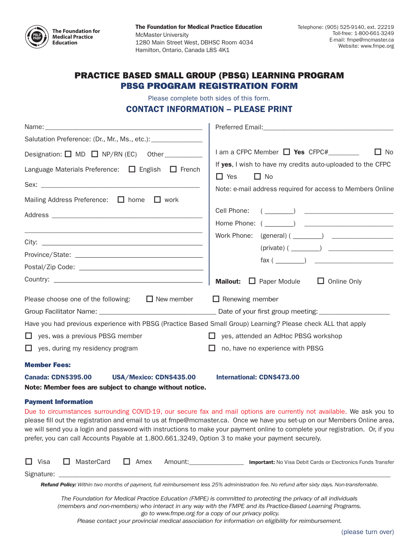

The Foundation for Medical Practice Education McMaster University 1280 Main Street West, DBHSC Room 4034 Hamilton, Ontario, Canada L8S 4K1

## PRACTICE BASED SMALL GROUP (PBSG) LEARNING PROGRAM PBSG PROGRAM REGISTRATION FORM

Please complete both sides of this form.

#### CONTACT INFORMATION – PLEASE PRINT

| Name:                                                                                                         |                                                                                                                                                                                                                                                                                                                                                                                     |  |  |  |  |  |
|---------------------------------------------------------------------------------------------------------------|-------------------------------------------------------------------------------------------------------------------------------------------------------------------------------------------------------------------------------------------------------------------------------------------------------------------------------------------------------------------------------------|--|--|--|--|--|
| Salutation Preference: (Dr., Mr., Ms., etc.): [11]                                                            |                                                                                                                                                                                                                                                                                                                                                                                     |  |  |  |  |  |
| Designation: $\Box$ MD $\Box$ NP/RN (EC) Other ___________                                                    | I am a CFPC Member $\Box$ Yes CFPC#________<br>$\Box$ No<br>If yes, I wish to have my credits auto-uploaded to the CFPC<br>$\Box$ No<br>$\Box$ Yes                                                                                                                                                                                                                                  |  |  |  |  |  |
| Language Materials Preference: □ English □ French                                                             |                                                                                                                                                                                                                                                                                                                                                                                     |  |  |  |  |  |
|                                                                                                               | Note: e-mail address required for access to Members Online                                                                                                                                                                                                                                                                                                                          |  |  |  |  |  |
| Mailing Address Preference: □ home □ work                                                                     |                                                                                                                                                                                                                                                                                                                                                                                     |  |  |  |  |  |
|                                                                                                               | Cell Phone:<br>$\left(\begin{array}{ccc} \begin{array}{ccc} \begin{array}{ccc} \end{array} & \end{array}\right) & \begin{array}{ccc} \begin{array}{ccc} \end{array} & \begin{array}{ccc} \end{array} & \end{array} \end{array}$                                                                                                                                                     |  |  |  |  |  |
|                                                                                                               |                                                                                                                                                                                                                                                                                                                                                                                     |  |  |  |  |  |
|                                                                                                               |                                                                                                                                                                                                                                                                                                                                                                                     |  |  |  |  |  |
|                                                                                                               | $(private)$ ( $\qquad \qquad$ )                                                                                                                                                                                                                                                                                                                                                     |  |  |  |  |  |
|                                                                                                               | $\text{ fax } (\_\_)$                                                                                                                                                                                                                                                                                                                                                               |  |  |  |  |  |
|                                                                                                               |                                                                                                                                                                                                                                                                                                                                                                                     |  |  |  |  |  |
|                                                                                                               | <b>Mailout:</b> $\Box$ Paper Module<br>$\Box$ Online Only                                                                                                                                                                                                                                                                                                                           |  |  |  |  |  |
| Please choose one of the following: $\Box$ New member                                                         | $\Box$ Renewing member                                                                                                                                                                                                                                                                                                                                                              |  |  |  |  |  |
|                                                                                                               |                                                                                                                                                                                                                                                                                                                                                                                     |  |  |  |  |  |
| Have you had previous experience with PBSG (Practice Based Small Group) Learning? Please check ALL that apply |                                                                                                                                                                                                                                                                                                                                                                                     |  |  |  |  |  |
| $\Box$ yes, was a previous PBSG member                                                                        | □ yes, attended an AdHoc PBSG workshop                                                                                                                                                                                                                                                                                                                                              |  |  |  |  |  |
| $\Box$ yes, during my residency program                                                                       | $\Box$ no, have no experience with PBSG                                                                                                                                                                                                                                                                                                                                             |  |  |  |  |  |
| <b>Member Fees:</b>                                                                                           |                                                                                                                                                                                                                                                                                                                                                                                     |  |  |  |  |  |
| <b>Canada: CDN\$395.00</b><br>USA/Mexico: CDN\$435.00                                                         | <b>International: CDN\$473.00</b>                                                                                                                                                                                                                                                                                                                                                   |  |  |  |  |  |
| Note: Member fees are subject to change without notice.                                                       |                                                                                                                                                                                                                                                                                                                                                                                     |  |  |  |  |  |
| <b>Payment Information</b>                                                                                    |                                                                                                                                                                                                                                                                                                                                                                                     |  |  |  |  |  |
|                                                                                                               | Due to circumstances surrounding COVID-19, our secure fax and mail options are currently not available. We ask you to<br>please fill out the registration and email to us at fmpe@mcmaster.ca. Once we have you set-up on our Members Online area,<br>we will send you a login and password with instructions to make your payment online to complete your registration. Or, if you |  |  |  |  |  |

| $\Box$ Visa | □ MasterCard | LI Amex | :Amount | <b>Important:</b> No Visa Debit Cards or Electronics Funds Transfer |
|-------------|--------------|---------|---------|---------------------------------------------------------------------|
| Signature:  |              |         |         |                                                                     |

prefer, you can call Accounts Payable at 1.800.661.3249, Option 3 to make your payment securely.

*Refund Policy: Within two months of payment, full reimbursement less 25% administration fee. No refund after sixty days. Non-transferrable.*

*The Foundation for Medical Practice Education (FMPE) is committed to protecting the privacy of all individuals (members and non-members) who interact in any way with the FMPE and its Practice-Based Learning Programs. go to www.fmpe.org for a copy of our privacy policy.*

*Please contact your provincial medical association for information on eligibility for reimbursement.*